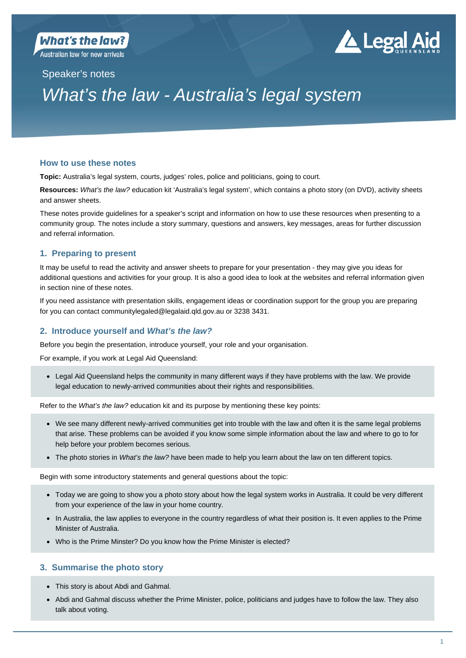**Australian law for new arrivals** 

# ▲ Legal Aid

## Speaker's notes

## *What's the law - Australia's legal system*

## **How to use these notes**

**Topic:** Australia's legal system, courts, judges' roles, police and politicians, going to court.

**Resources:** *What's the law?* education kit 'Australia's legal system', which contains a photo story (on DVD), activity sheets and answer sheets.

These notes provide guidelines for a speaker's script and information on how to use these resources when presenting to a community group. The notes include a story summary, questions and answers, key messages, areas for further discussion and referral information.

## **1. Preparing to present**

It may be useful to read the activity and answer sheets to prepare for your presentation - they may give you ideas for additional questions and activities for your group. It is also a good idea to look at the websites and referral information given in section nine of these notes.

If you need assistance with presentation skills, engagement ideas or coordination support for the group you are preparing for you can contact communitylegaled@legalaid.qld.gov.au or 3238 3431.

## **2. Introduce yourself and** *What's the law?*

Before you begin the presentation, introduce yourself, your role and your organisation.

For example, if you work at Legal Aid Queensland:

 Legal Aid Queensland helps the community in many different ways if they have problems with the law. We provide legal education to newly-arrived communities about their rights and responsibilities.

Refer to the *What's the law?* education kit and its purpose by mentioning these key points:

- We see many different newly-arrived communities get into trouble with the law and often it is the same legal problems that arise. These problems can be avoided if you know some simple information about the law and where to go to for help before your problem becomes serious.
- The photo stories in *What's the law?* have been made to help you learn about the law on ten different topics.

Begin with some introductory statements and general questions about the topic:

- Today we are going to show you a photo story about how the legal system works in Australia. It could be very different from your experience of the law in your home country.
- In Australia, the law applies to everyone in the country regardless of what their position is. It even applies to the Prime Minister of Australia.
- Who is the Prime Minster? Do you know how the Prime Minister is elected?

## **3. Summarise the photo story**

- This story is about Abdi and Gahmal.
- Abdi and Gahmal discuss whether the Prime Minister, police, politicians and judges have to follow the law. They also talk about voting.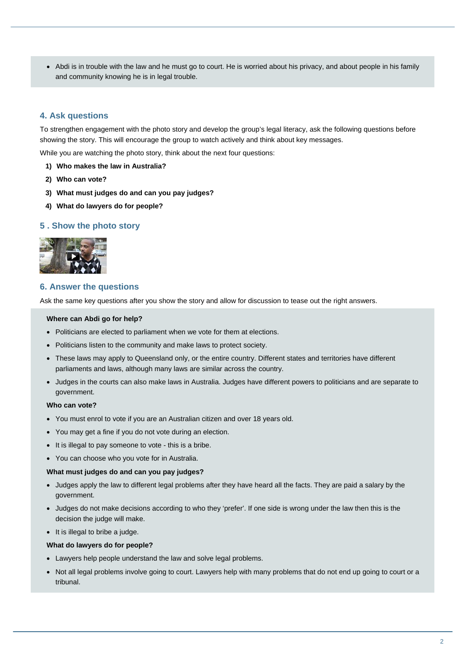Abdi is in trouble with the law and he must go to court. He is worried about his privacy, and about people in his family and community knowing he is in legal trouble.

## **4. Ask questions**

To strengthen engagement with the photo story and develop the group's legal literacy, ask the following questions before showing the story. This will encourage the group to watch actively and think about key messages.

While you are watching the photo story, think about the next four questions:

- **1) Who makes the law in Australia?**
- **2) Who can vote?**
- **3) What must judges do and can you pay judges?**
- **4) What do lawyers do for people?**

#### **5 . Show the photo story**



### **6. Answer the questions**

Ask the same key questions after you show the story and allow for discussion to tease out the right answers.

#### **Where can Abdi go for help?**

- Politicians are elected to parliament when we vote for them at elections.
- Politicians listen to the community and make laws to protect society.
- These laws may apply to Queensland only, or the entire country. Different states and territories have different parliaments and laws, although many laws are similar across the country.
- Judges in the courts can also make laws in Australia. Judges have different powers to politicians and are separate to government.

#### **Who can vote?**

- You must enrol to vote if you are an Australian citizen and over 18 years old.
- You may get a fine if you do not vote during an election.
- It is illegal to pay someone to vote this is a bribe.
- You can choose who you vote for in Australia.

#### **What must judges do and can you pay judges?**

- Judges apply the law to different legal problems after they have heard all the facts. They are paid a salary by the government.
- Judges do not make decisions according to who they 'prefer'. If one side is wrong under the law then this is the decision the judge will make.
- $\bullet$  It is illegal to bribe a judge.

#### **What do lawyers do for people?**

- Lawyers help people understand the law and solve legal problems.
- Not all legal problems involve going to court. Lawyers help with many problems that do not end up going to court or a tribunal.